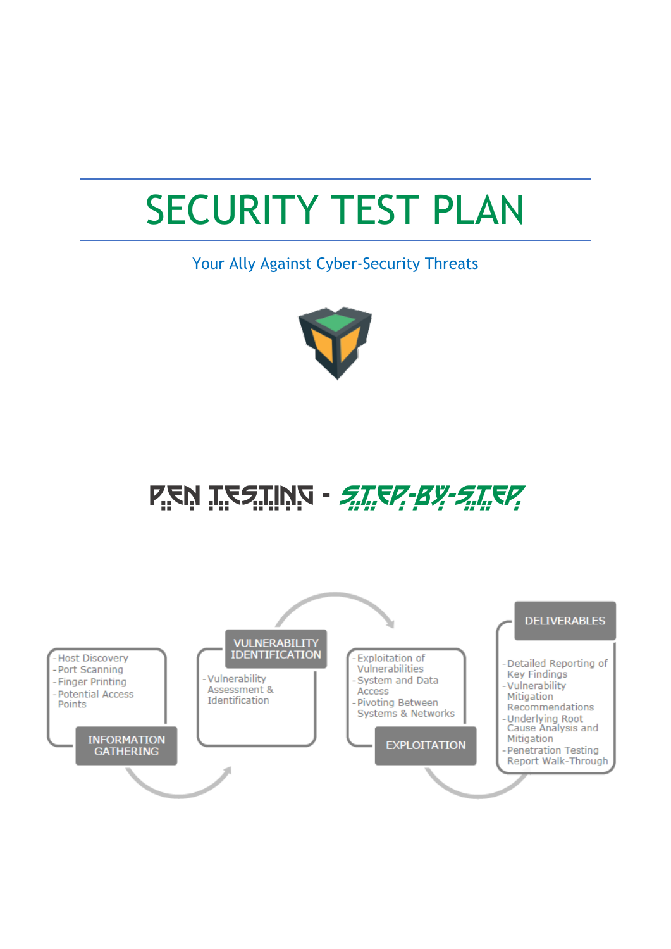# SECURITY TEST PLAN

Your Ally Against Cyber-Security Threats



PEN TESTING - *STEP - BY-STEP* 

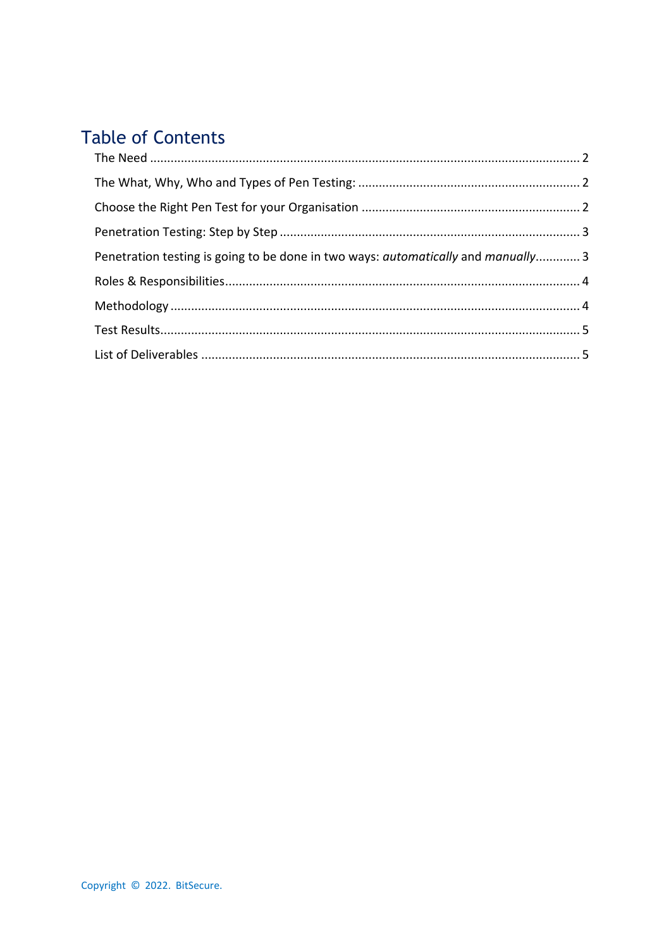# **Table of Contents**

| Penetration testing is going to be done in two ways: automatically and manually 3 |  |
|-----------------------------------------------------------------------------------|--|
|                                                                                   |  |
|                                                                                   |  |
|                                                                                   |  |
|                                                                                   |  |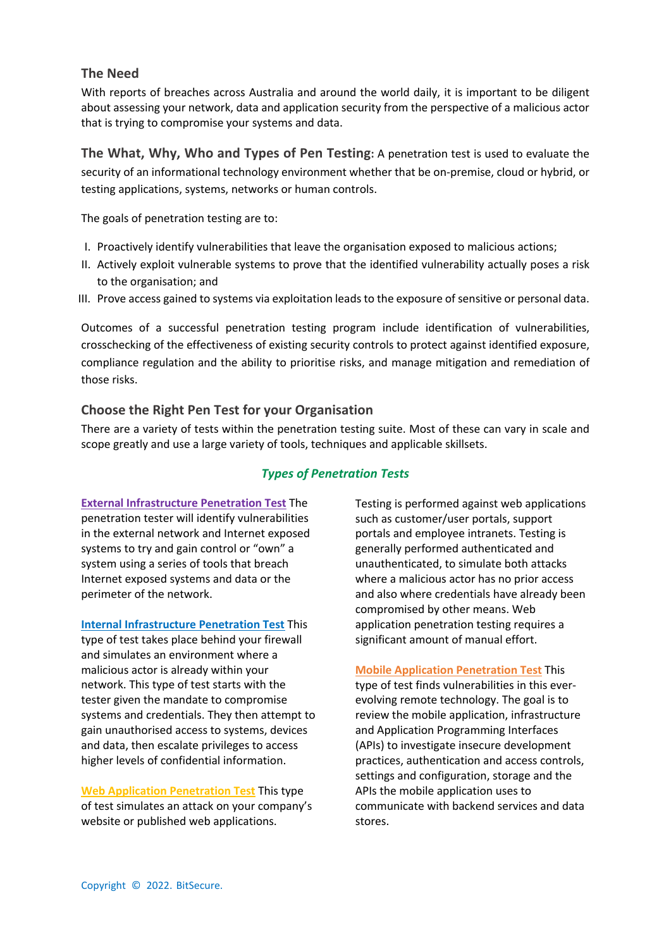#### **The Need**

With reports of breaches across Australia and around the world daily, it is important to be diligent about assessing your network, data and application security from the perspective of a malicious actor that is trying to compromise your systems and data.

**The What, Why, Who and Types of Pen Testing:** A penetration test is used to evaluate the security of an informational technology environment whether that be on-premise, cloud or hybrid, or testing applications, systems, networks or human controls.

The goals of penetration testing are to:

- I. Proactively identify vulnerabilities that leave the organisation exposed to malicious actions;
- II. Actively exploit vulnerable systems to prove that the identified vulnerability actually poses a risk to the organisation; and
- III. Prove access gained to systems via exploitation leads to the exposure of sensitive or personal data.

Outcomes of a successful penetration testing program include identification of vulnerabilities, crosschecking of the effectiveness of existing security controls to protect against identified exposure, compliance regulation and the ability to prioritise risks, and manage mitigation and remediation of those risks.

#### **Choose the Right Pen Test for your Organisation**

There are a variety of tests within the penetration testing suite. Most of these can vary in scale and scope greatly and use a large variety of tools, techniques and applicable skillsets.

#### *Types of Penetration Tests*

**External Infrastructure Penetration Test** The penetration tester will identify vulnerabilities in the external network and Internet exposed systems to try and gain control or "own" a system using a series of tools that breach Internet exposed systems and data or the perimeter of the network.

**Internal Infrastructure Penetration Test** This type of test takes place behind your firewall and simulates an environment where a malicious actor is already within your network. This type of test starts with the tester given the mandate to compromise systems and credentials. They then attempt to gain unauthorised access to systems, devices and data, then escalate privileges to access higher levels of confidential information.

**Web Application Penetration Test** This type of test simulates an attack on your company's website or published web applications.

Testing is performed against web applications such as customer/user portals, support portals and employee intranets. Testing is generally performed authenticated and unauthenticated, to simulate both attacks where a malicious actor has no prior access and also where credentials have already been compromised by other means. Web application penetration testing requires a significant amount of manual effort.

**Mobile Application Penetration Test** This type of test finds vulnerabilities in this everevolving remote technology. The goal is to review the mobile application, infrastructure and Application Programming Interfaces (APIs) to investigate insecure development practices, authentication and access controls, settings and configuration, storage and the APIs the mobile application uses to communicate with backend services and data stores.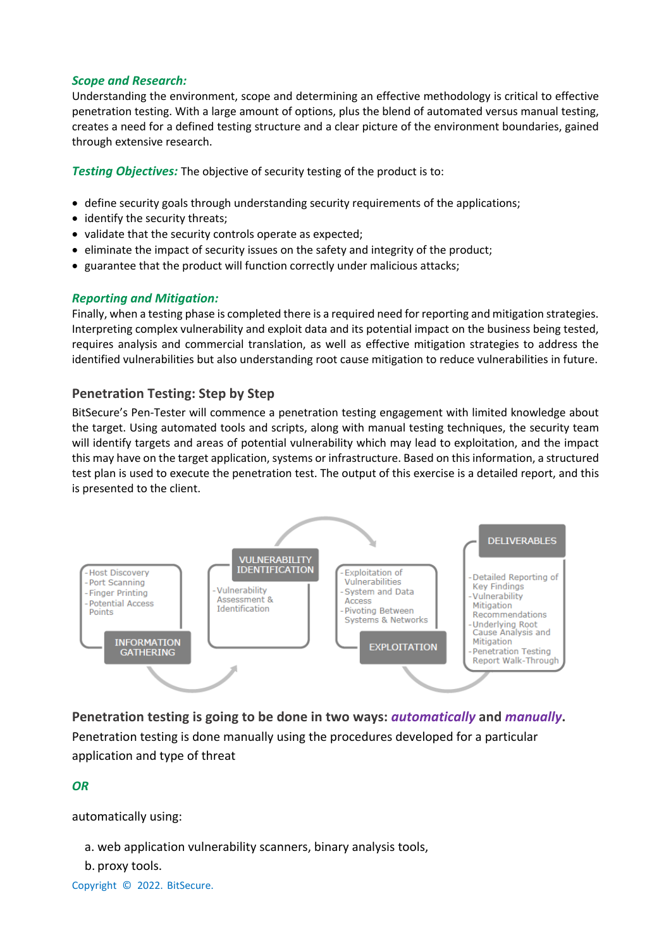#### *Scope and Research:*

Understanding the environment, scope and determining an effective methodology is critical to effective penetration testing. With a large amount of options, plus the blend of automated versus manual testing, creates a need for a defined testing structure and a clear picture of the environment boundaries, gained through extensive research.

*Testing Objectives:* The objective of security testing of the product is to:

- define security goals through understanding security requirements of the applications;
- identify the security threats;
- validate that the security controls operate as expected;
- eliminate the impact of security issues on the safety and integrity of the product;
- guarantee that the product will function correctly under malicious attacks;

#### *Reporting and Mitigation:*

Finally, when a testing phase is completed there is a required need for reporting and mitigation strategies. Interpreting complex vulnerability and exploit data and its potential impact on the business being tested, requires analysis and commercial translation, as well as effective mitigation strategies to address the identified vulnerabilities but also understanding root cause mitigation to reduce vulnerabilities in future.

#### **Penetration Testing: Step by Step**

BitSecure's Pen-Tester will commence a penetration testing engagement with limited knowledge about the target. Using automated tools and scripts, along with manual testing techniques, the security team will identify targets and areas of potential vulnerability which may lead to exploitation, and the impact this may have on the target application, systems or infrastructure. Based on this information, a structured test plan is used to execute the penetration test. The output of this exercise is a detailed report, and this is presented to the client.



**Penetration testing is going to be done in two ways:** *automatically* **and** *manually***.** Penetration testing is done manually using the procedures developed for a particular application and type of threat

*OR*

automatically using:

```
a. web application vulnerability scanners, binary analysis tools,
```
b. proxy tools.

```
Copyright © 2022. BitSecure.
```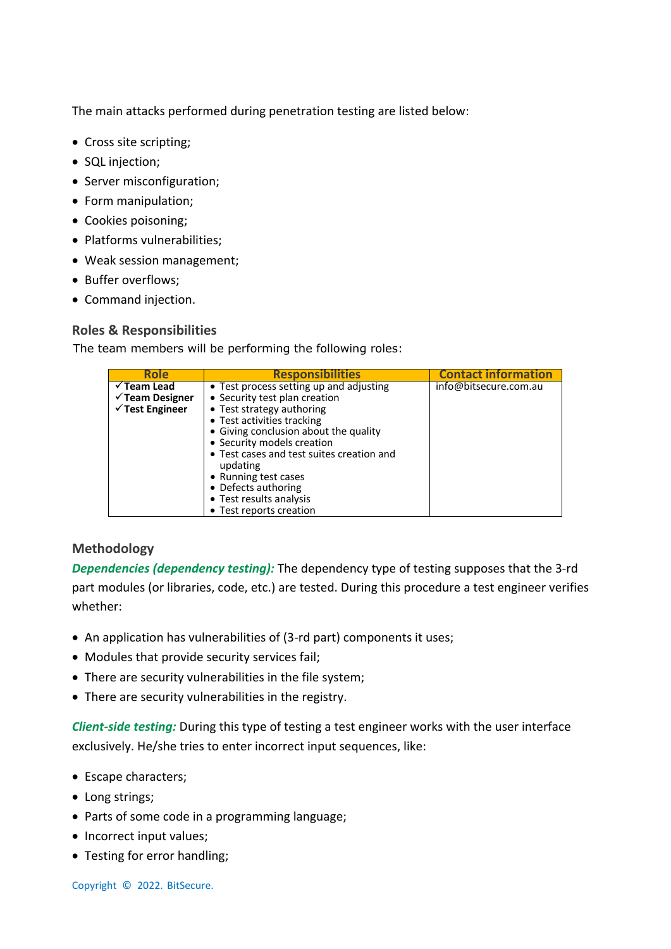The main attacks performed during penetration testing are listed below:

- Cross site scripting;
- SQL injection;
- Server misconfiguration;
- Form manipulation;
- Cookies poisoning;
- Platforms vulnerabilities;
- Weak session management;
- Buffer overflows;
- Command injection.

### **Roles & Responsibilities**

The team members will be performing the following roles:

| <b>Role</b>                                                                        | <b>Responsibilities</b>                                                                                                                                                                                                                                                                                                                                                  | <b>Contact information</b> |
|------------------------------------------------------------------------------------|--------------------------------------------------------------------------------------------------------------------------------------------------------------------------------------------------------------------------------------------------------------------------------------------------------------------------------------------------------------------------|----------------------------|
| $\checkmark$ Team Lead<br>$\checkmark$ Team Designer<br>$\checkmark$ Test Engineer | • Test process setting up and adjusting<br>• Security test plan creation<br>• Test strategy authoring<br>• Test activities tracking<br>• Giving conclusion about the quality<br>• Security models creation<br>• Test cases and test suites creation and<br>updating<br>• Running test cases<br>• Defects authoring<br>• Test results analysis<br>• Test reports creation | info@bitsecure.com.au      |

# **Methodology**

*Dependencies (dependency testing):* The dependency type of testing supposes that the 3-rd part modules (or libraries, code, etc.) are tested. During this procedure a test engineer verifies whether:

- An application has vulnerabilities of (3-rd part) components it uses;
- Modules that provide security services fail;
- There are security vulnerabilities in the file system;
- There are security vulnerabilities in the registry.

*Client-side testing:* During this type of testing a test engineer works with the user interface exclusively. He/she tries to enter incorrect input sequences, like:

- Escape characters;
- Long strings;
- Parts of some code in a programming language;
- Incorrect input values;
- Testing for error handling;